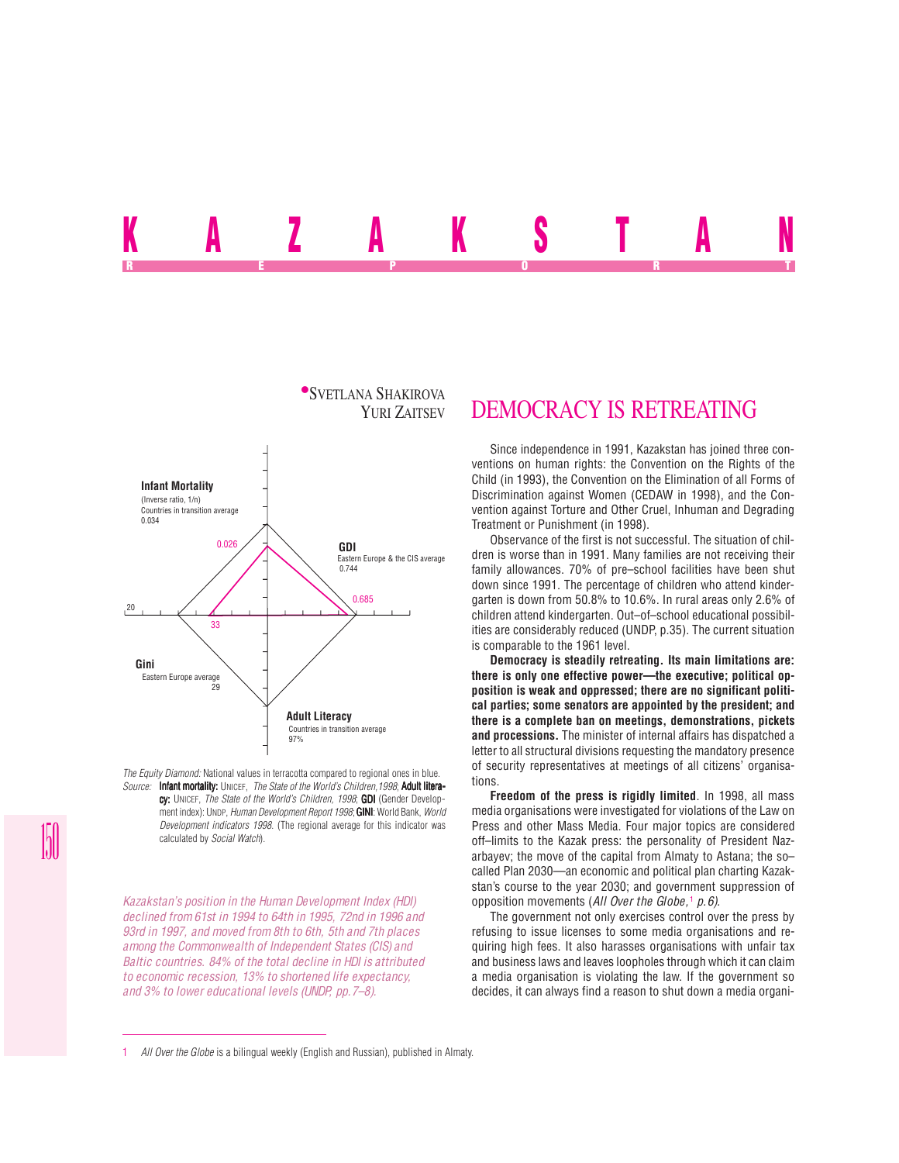# <u>n a zaman dia k</u>a REPORT OF STATE REPORT OF STATE REPORT OF STATE REPORT OF STATE REPORT OF STATE REPORT OF STATE REPORT OF STATE REPORT OF STATE REPORT OF STATE REPORT OF STATE REPORT OF STATE REPORT OF STATE REPORT OF STATE REPORT OF STAT



*The Equity Diamond:* National values in terracotta compared to regional ones in blue. *Source:* Infant mortality: UNICEF, *The State of the World's Children,1998*; Adult literacy: UNICEF, *The State of the World's Children, 1998*; **GDI** (Gender Development index): UNDP, *Human Development Report 1998*; **GINI**: World Bank, *World Development indicators 1998*. (The regional average for this indicator was calculated by *Social Watch*).

*Kazakstan's position in the Human Development Index (HDI) declined from 61st in 1994 to 64th in 1995, 72nd in 1996 and 93rd in 1997, and moved from 8th to 6th, 5th and 7th places among the Commonwealth of Independent States (CIS) and Baltic countries. 84% of the total decline in HDI is attributed to economic recession, 13% to shortened life expectancy, and 3% to lower educational levels (UNDP, pp.7–8).*

## DEMOCRACY IS RETREATING

Since independence in 1991, Kazakstan has joined three conventions on human rights: the Convention on the Rights of the Child (in 1993), the Convention on the Elimination of all Forms of Discrimination against Women (CEDAW in 1998), and the Convention against Torture and Other Cruel, Inhuman and Degrading Treatment or Punishment (in 1998).

Observance of the first is not successful. The situation of children is worse than in 1991. Many families are not receiving their family allowances. 70% of pre–school facilities have been shut down since 1991. The percentage of children who attend kindergarten is down from 50.8% to 10.6%. In rural areas only 2.6% of children attend kindergarten. Out–of–school educational possibilities are considerably reduced (UNDP, p.35). The current situation is comparable to the 1961 level.

**Democracy is steadily retreating. Its main limitations are: there is only one effective power—the executive; political opposition is weak and oppressed; there are no significant political parties; some senators are appointed by the president; and there is a complete ban on meetings, demonstrations, pickets and processions.** The minister of internal affairs has dispatched a letter to all structural divisions requesting the mandatory presence of security representatives at meetings of all citizens' organisations.

**Freedom of the press is rigidly limited**. In 1998, all mass media organisations were investigated for violations of the Law on Press and other Mass Media. Four major topics are considered off–limits to the Kazak press: the personality of President Nazarbayev; the move of the capital from Almaty to Astana; the so– called Plan 2030—an economic and political plan charting Kazakstan's course to the year 2030; and government suppression of opposition movements (*All Over the Globe,*<sup>1</sup>  *p.6).*

The government not only exercises control over the press by refusing to issue licenses to some media organisations and requiring high fees. It also harasses organisations with unfair tax and business laws and leaves loopholes through which it can claim a media organisation is violating the law. If the government so decides, it can always find a reason to shut down a media organi-

<sup>1</sup> *All Over the Globe* is a bilingual weekly (English and Russian), published in Almaty.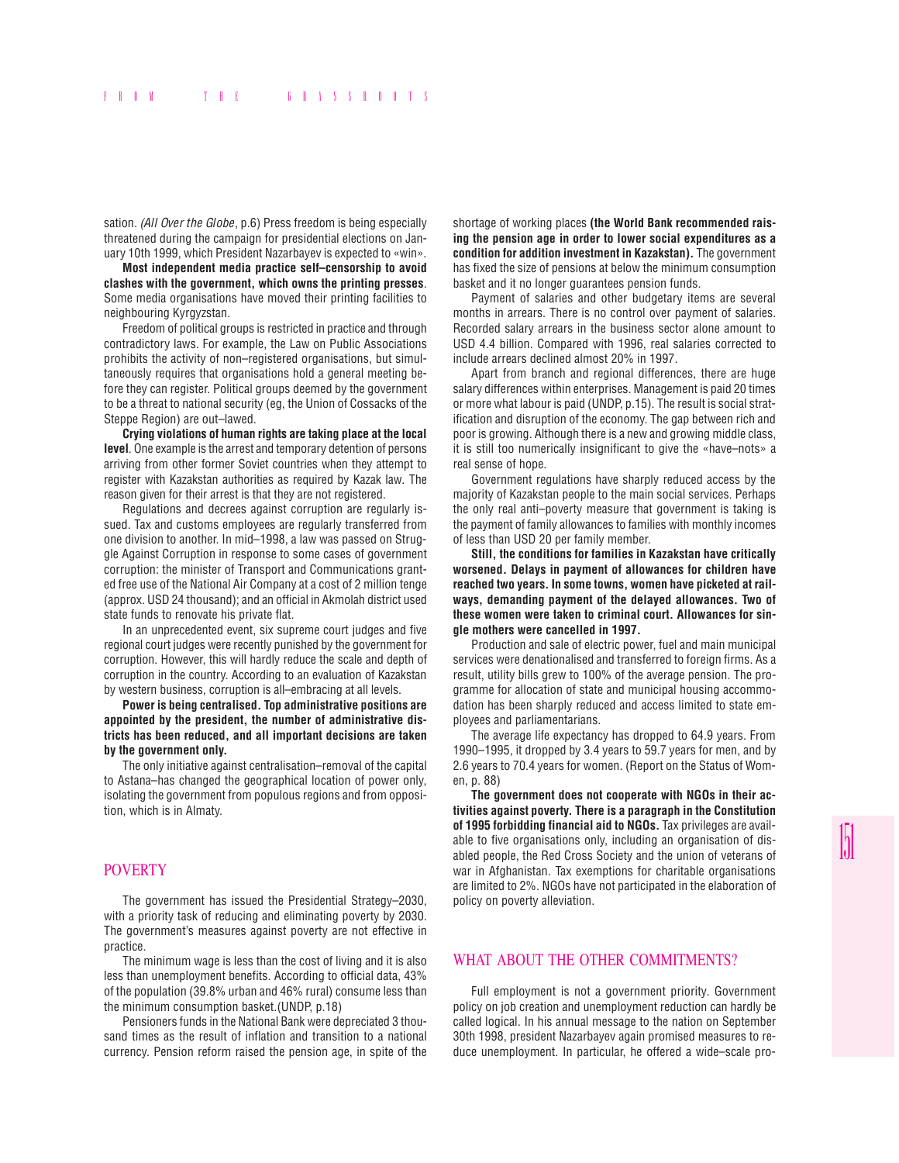sation. *(All Over the Globe*, p.6) Press freedom is being especially threatened during the campaign for presidential elections on January 10th 1999, which President Nazarbayev is expected to «win».

**Most independent media practice self–censorship to avoid clashes with the government, which owns the printing presses**. Some media organisations have moved their printing facilities to neighbouring Kyrgyzstan.

Freedom of political groups is restricted in practice and through contradictory laws. For example, the Law on Public Associations prohibits the activity of non–registered organisations, but simultaneously requires that organisations hold a general meeting before they can register. Political groups deemed by the government to be a threat to national security (eg, the Union of Cossacks of the Steppe Region) are out–lawed.

**Crying violations of human rights are taking place at the local level**. One example is the arrest and temporary detention of persons arriving from other former Soviet countries when they attempt to register with Kazakstan authorities as required by Kazak law. The reason given for their arrest is that they are not registered.

Regulations and decrees against corruption are regularly issued. Tax and customs employees are regularly transferred from one division to another. In mid–1998, a law was passed on Struggle Against Corruption in response to some cases of government corruption: the minister of Transport and Communications granted free use of the National Air Company at a cost of 2 million tenge (approx. USD 24 thousand); and an official in Akmolah district used state funds to renovate his private flat.

In an unprecedented event, six supreme court judges and five regional court judges were recently punished by the government for corruption. However, this will hardly reduce the scale and depth of corruption in the country. According to an evaluation of Kazakstan by western business, corruption is all–embracing at all levels.

**Power is being centralised. Top administrative positions are appointed by the president, the number of administrative districts has been reduced, and all important decisions are taken by the government only.**

The only initiative against centralisation–removal of the capital to Astana–has changed the geographical location of power only, isolating the government from populous regions and from opposition, which is in Almaty.

#### POVERTY

The government has issued the Presidential Strategy–2030, with a priority task of reducing and eliminating poverty by 2030. The government's measures against poverty are not effective in practice.

The minimum wage is less than the cost of living and it is also less than unemployment benefits. According to official data, 43% of the population (39.8% urban and 46% rural) consume less than the minimum consumption basket.(UNDP, p.18)

Pensioners funds in the National Bank were depreciated 3 thousand times as the result of inflation and transition to a national currency. Pension reform raised the pension age, in spite of the shortage of working places **(the World Bank recommended raising the pension age in order to lower social expenditures as a condition for addition investment in Kazakstan).** The government has fixed the size of pensions at below the minimum consumption basket and it no longer guarantees pension funds.

Payment of salaries and other budgetary items are several months in arrears. There is no control over payment of salaries. Recorded salary arrears in the business sector alone amount to USD 4.4 billion. Compared with 1996, real salaries corrected to include arrears declined almost 20% in 1997.

Apart from branch and regional differences, there are huge salary differences within enterprises. Management is paid 20 times or more what labour is paid (UNDP, p.15). The result is social stratification and disruption of the economy. The gap between rich and poor is growing. Although there is a new and growing middle class, it is still too numerically insignificant to give the «have–nots» a real sense of hope.

Government regulations have sharply reduced access by the majority of Kazakstan people to the main social services. Perhaps the only real anti–poverty measure that government is taking is the payment of family allowances to families with monthly incomes of less than USD 20 per family member.

**Still, the conditions for families in Kazakstan have critically worsened. Delays in payment of allowances for children have reached two years. In some towns, women have picketed at railways, demanding payment of the delayed allowances. Two of these women were taken to criminal court. Allowances for single mothers were cancelled in 1997.**

Production and sale of electric power, fuel and main municipal services were denationalised and transferred to foreign firms. As a result, utility bills grew to 100% of the average pension. The programme for allocation of state and municipal housing accommodation has been sharply reduced and access limited to state employees and parliamentarians.

The average life expectancy has dropped to 64.9 years. From 1990–1995, it dropped by 3.4 years to 59.7 years for men, and by 2.6 years to 70.4 years for women. (Report on the Status of Women, p. 88)

**The government does not cooperate with NGOs in their activities against poverty. There is a paragraph in the Constitution of 1995 forbidding financial aid to NGOs.** Tax privileges are available to five organisations only, including an organisation of disabled people, the Red Cross Society and the union of veterans of war in Afghanistan. Tax exemptions for charitable organisations are limited to 2%. NGOs have not participated in the elaboration of policy on poverty alleviation.

### WHAT ABOUT THE OTHER COMMITMENTS?

Full employment is not a government priority. Government policy on job creation and unemployment reduction can hardly be called logical. In his annual message to the nation on September 30th 1998, president Nazarbayev again promised measures to reduce unemployment. In particular, he offered a wide–scale pro